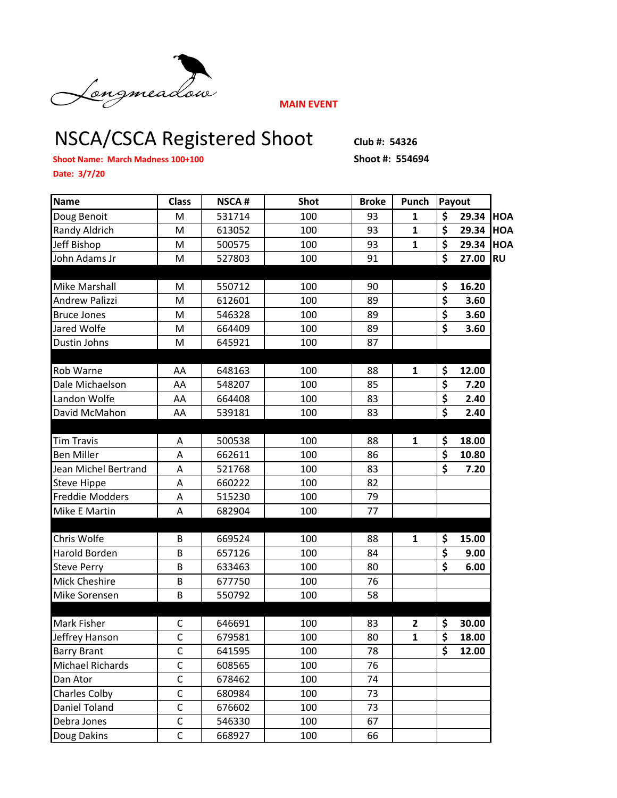

**MAIN EVENT**

## NSCA/CSCA Registered Shoot Club #: 54326

**Shoot Name: March Madness 100+100 Shoot #: 554694**

**Date: 3/7/20**

| Name                  | <b>Class</b>   | <b>NSCA#</b> | <b>Shot</b> | <b>Broke</b> | Punch        | Payout                          |       |            |
|-----------------------|----------------|--------------|-------------|--------------|--------------|---------------------------------|-------|------------|
| Doug Benoit           | M              | 531714       | 100         | 93           | 1            | \$                              | 29.34 | <b>HOA</b> |
| Randy Aldrich         | M              | 613052       | 100         | 93           | $\mathbf{1}$ | \$                              | 29.34 | <b>HOA</b> |
| Jeff Bishop           | M              | 500575       | 100         | 93           | $\mathbf{1}$ | \$                              | 29.34 | <b>HOA</b> |
| John Adams Jr         | M              | 527803       | 100         | 91           |              | \$                              | 27.00 | <b>RU</b>  |
|                       |                |              |             |              |              |                                 |       |            |
| Mike Marshall         | М              | 550712       | 100         | 90           |              | \$                              | 16.20 |            |
| <b>Andrew Palizzi</b> | M              | 612601       | 100         | 89           |              | \$                              | 3.60  |            |
| <b>Bruce Jones</b>    | M              | 546328       | 100         | 89           |              | \$                              | 3.60  |            |
| Jared Wolfe           | M              | 664409       | 100         | 89           |              | $\overline{\boldsymbol{\zeta}}$ | 3.60  |            |
| Dustin Johns          | M              | 645921       | 100         | 87           |              |                                 |       |            |
|                       |                |              |             |              |              |                                 |       |            |
| Rob Warne             | AA             | 648163       | 100         | 88           | 1            | \$                              | 12.00 |            |
| Dale Michaelson       | AA             | 548207       | 100         | 85           |              | \$                              | 7.20  |            |
| Landon Wolfe          | AA             | 664408       | 100         | 83           |              | \$                              | 2.40  |            |
| David McMahon         | AA             | 539181       | 100         | 83           |              | \$                              | 2.40  |            |
|                       |                |              |             |              |              |                                 |       |            |
| <b>Tim Travis</b>     | Α              | 500538       | 100         | 88           | 1            | \$                              | 18.00 |            |
| <b>Ben Miller</b>     | A              | 662611       | 100         | 86           |              | \$                              | 10.80 |            |
| Jean Michel Bertrand  | A              | 521768       | 100         | 83           |              | $\overline{\boldsymbol{\zeta}}$ | 7.20  |            |
| <b>Steve Hippe</b>    | A              | 660222       | 100         | 82           |              |                                 |       |            |
| Freddie Modders       | A              | 515230       | 100         | 79           |              |                                 |       |            |
| Mike E Martin         | A              | 682904       | 100         | 77           |              |                                 |       |            |
|                       |                |              |             |              |              |                                 |       |            |
| Chris Wolfe           | B              | 669524       | 100         | 88           | $\mathbf{1}$ | \$                              | 15.00 |            |
| Harold Borden         | B              | 657126       | 100         | 84           |              | \$                              | 9.00  |            |
| <b>Steve Perry</b>    | B              | 633463       | 100         | 80           |              | \$                              | 6.00  |            |
| <b>Mick Cheshire</b>  | B              | 677750       | 100         | 76           |              |                                 |       |            |
| Mike Sorensen         | B              | 550792       | 100         | 58           |              |                                 |       |            |
|                       |                |              |             |              |              |                                 |       |            |
| <b>Mark Fisher</b>    | C              | 646691       | 100         | 83           | 2            | \$                              | 30.00 |            |
| Jeffrey Hanson        | $\mathsf{C}$   | 679581       | 100         | 80           | $\mathbf{1}$ | $\overline{\boldsymbol{\zeta}}$ | 18.00 |            |
| <b>Barry Brant</b>    | С              | 641595       | 100         | 78           |              | \$                              | 12.00 |            |
| Michael Richards      | $\mathsf C$    | 608565       | 100         | 76           |              |                                 |       |            |
| Dan Ator              | $\mathsf C$    | 678462       | 100         | 74           |              |                                 |       |            |
| <b>Charles Colby</b>  | $\mathsf{C}$   | 680984       | 100         | 73           |              |                                 |       |            |
| Daniel Toland         | $\mathsf C$    | 676602       | 100         | 73           |              |                                 |       |            |
| Debra Jones           | $\mathsf C$    | 546330       | 100         | 67           |              |                                 |       |            |
| Doug Dakins           | $\overline{C}$ | 668927       | 100         | 66           |              |                                 |       |            |